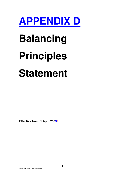

# **Balancing**

# **Principles**

# **Statement**

**Effective from: 1 April 20098**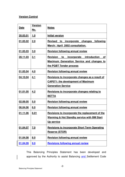#### **Version Control**

| Date            | <b>Version</b><br>No. | <b>Notes</b>                                                                                                                        |
|-----------------|-----------------------|-------------------------------------------------------------------------------------------------------------------------------------|
| 20.03.01        | 1.0                   | <b>Initial version</b>                                                                                                              |
| 01.05.02        | 2.0                   | following<br>Revised to<br>incorporate changes<br>March / April 2002 consultation.                                                  |
| 01.05.03        | 3.0                   | <b>Revision following annual review</b>                                                                                             |
| <u>28.11.03</u> | 3.1                   | incorporate introduction of<br><b>Revision</b><br>to<br><b>Maximum Generation Service and changes to</b><br>the PGBT Tender process |
| 01.05.04        | 4.0                   | <b>Revision following annual review</b>                                                                                             |
| 04.10.04        | 4.1                   | Revisions to incorporate changes as a result of<br><b>CAP071: the development of Maximum</b><br><b>Generation Service</b>           |
| 01.01.05        | 4.2                   | <b>Revisions to incorporate changes relating to</b><br><b>BETTA</b>                                                                 |
| 02.09.05        | 5.0                   | <b>Revision following annual review</b>                                                                                             |
| 06.04.06        | 6.0                   | <b>Revision following annual review</b>                                                                                             |
| 01.11.06        | 6.01                  | Revisions to incorporate the replacement of the<br><b>Warming &amp; Hot Standby service with BM Start</b><br><b>Up service</b>      |
| 01.04.07        | 7.0                   | <b>Revisions to incorporate Short Term Operating</b><br>Reserve (STOR)                                                              |
| 01.04.08        | 8.0                   | <b>Revision following annual review</b>                                                                                             |
| 01.04.09        | 9.0                   | <b>Revisions following annual review</b>                                                                                            |

This Balancing Principles Statement has been developed and approved by the Authority to assist Balancing and Settlement Code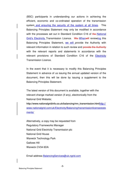(BSC) participants in understanding our actions in achieving the efficient, economic and co-ordinated operation of the transmission system and ensuring the security of the system at all times. This Balancing Principles Statement may only be modified in accordance with the processes set out in Standard Condition C16 of the National Grid's Electricity Transmission Licence. We Whenwill reviewing this Balancing Principles Statement, we will provide the Authority with relevant information in relation to such review and provide the Authority with the relevant reports and statements in accordance with the relevant provisions of Standard Condition C16 of the Electricity Transmission Licence.

In the event that it is necessary to modify this Balancing Principles Statement in advance of us issuing the annual updated version of the document, then this will be done by issuing a supplement to the Balancing Principles Statement.

The latest version of this document is available, together with the relevant change marked version (if any), electronically from the National Grid Website;

http://www.nationalgridinfo.co.uk/balancing/mn\_transmission.htmlhttp:// www.nationalgrid.com/uk/Electricity/Balancing/transmissionlicensestate ments/

Alternatively, a copy may be requested from Regulatory Frameworks Manager National Grid Electricity Transmission plc National Grid House Warwick Technology Park Gallows Hill Warwick CV34 6DA

Email address BalancingServices@uk.ngrid.com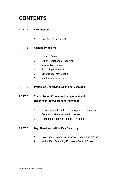# **CONTENTS**

#### **PART A Introduction**

1. Purpose of Document

#### **PART B General Principles**

- 1. Licence Duties
- 2. Other Compliance Reporting
- 3. Information Sources
- 4. Balancing Measures
- 5. Emergency Instructions
- 6. Involuntary Reductions

#### **PART C Principles Underlying Balancing Measures**

#### **PART D Transmission Constraint Management and Response/Reserve Holding Principles**

- 1. Transmission Constraint Management Principles
- 2. Constraint Management Processes
- 3. Response/Reserve Holding Principles

#### **PART E** Day Ahead and Within Day Balancing

- 1. Day Ahead Balancing Process Scheduling Phase
- 2. Within Day Balancing Process Control Phase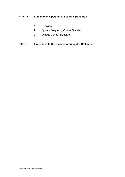#### **PART F Summary of Operational Security Standards**

- 1. Overview
- 2. System Frequency Control Standard
- 3. Voltage Control Standard

#### **PART G Exceptions to the Balancing Principles Statement**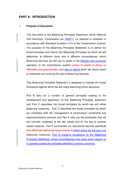#### **PART A: INTRODUCTION**

#### 1. **Purpose of Document**

This document is the Balancing Principles Statement, which National Grid Electricity Transmission plc (NGET), (is required to establish in accordance with Standard Condition C16 of the Transmission Licence. The purpose of this Balancing Principles Statement is to define the broad principles and criteria (the Balancing Principles) by which we will determine, at different times and in different circumstances, which Balancing Services we will use to assist in the efficient and economic operation of the transmission system and/or to assist in doing so efficiently and economically, and also to define when we would resort to measures not involving the use of Balancing Services.

This Balancing Principles Statement is designed to indicate the broad framework against which we will make balancing action decisions.

Part B sets out a number of general principles relating to the development and application of this Balancing Principles Statement and Part C describes the broad principles by which we will utilise balancing measures. Part D describes the broad principles by which we undertake both the management of transmission constraints and response/reserve services and Part E sets out the processes that we will normally undertake at the day ahead and on the day to achieve system balance. Part F summarises our operational security standards that effectively define the requirements forwithin which we will carry out balancing measures. Part G explains exceptions to the Balancing Principles Statement, where circumstances may arise which require us to operate outside the principles detailed in previous sections.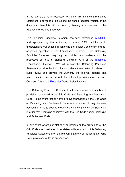In the event that it is necessary to modify this Balancing Principles Statement in advance of us issuing the annual updated version of the document, then this will be done by issuing a supplement to the Balancing Principles Statement.

This Balancing Principles Statement has been developed by NGET, and approved by the Authority, to assist BSC participants in understanding our actions in achieving the efficient, economic and coordinated operation of the transmission system. This Balancing Principles Statement may only be modified in accordance with the processes set out in Standard Condition C16 of the Electricity Transmission Licence. We will review this Balancing Principles Statement, provide the Authority with relevant information in relation to such review and provide the Authority the relevant reports and statements in accordance with the relevant provisions of Standard Condition C16 of the Electricity Transmission Licence.

This Balancing Principles Statement makes reference to a number of provisions contained in the Grid Code and Balancing and Settlement Code. In the event that any of the relevant provisions in the Grid Code or Balancing and Settlement Code are amended it may become necessary for us to seek to modify the Balancing Principles Statement in order that it remains consistent with the Grid Code and/or Balancing and Settlement Code.

In any event where our statutory obligations or the provisions of the Grid Code are considered inconsistent with any part of this Balancing Principles Statement, then the relevant statutory obligation and/or Grid Code provisions will take precedence.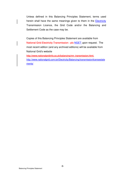Unless defined in this Balancing Principles Statement, terms used herein shall have the same meanings given to them in the **Electricity** Transmission Licence, the Grid Code and/or the Balancing and Settlement Code as the case may be.

Copies of this Balancing Principles Statement are available from National Grid Electricity Transmission plc NGET upon request. The most recent edition (and any archived editions) will be available from National Grid's website

http://www.nationalgridinfo.co.uk/balancing/mn\_transmission.html. http://www.nationalgrid.com/uk/Electricity/Balancing/transmissionlicensestate ments/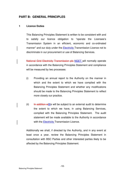#### **PART B: GENERAL PRINCIPLES**

#### **1 Licence Duties**

This Balancing Principles Statement is written to be consistent with and to satisfy our licence obligation to "operate the Licensee's Transmission System in an efficient, economic and co-ordinated manner" and our duty under the Electricity Transmission Licence not to discriminate in our procurement or use of Balancing Services.

National Grid Electricity Transmission plc-NGET will normally operate in accordance with the Balancing Principles Statement and compliance will be measured by two processes:

- (i) Providing an annual report to the Authority on the manner in which and the extent to which we have complied with the Balancing Principles Statement and whether any modifications should be made to the Balancing Principles Statement to reflect more closely our practice.
- (ii) In addition wWe will be subject to an external audit to determine the extent to which we have, in using Balancing Services, complied with the Balancing Principles Statement. The audit statement will be made available to the Authority in accordance with the Electricity Transmission Licence.

Additionally we shall, if directed by the Authority, and in any event at least once a year, review the Balancing Principles Statement in consultation with BSC Parties and other interested parties likely to be affected by the Balancing Principles Statement.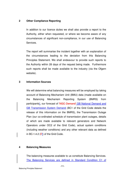#### **2 Other Compliance Reporting**

In addition to our licence duties we shall also provide a report to the Authority, either when requested, or where we become aware of any circumstances of significant non-compliance, in our use of Balancing Services.

The report will summarise the incident together with an explanation of the circumstances leading to the deviation from this Balancing Principles Statement. We shall endeavour to provide such reports to the Authority within 28 days of the request being made. Furthermore such reports shall be made available to the industry (via the Ofgem website).

#### **3 Information Sources**

We will determine what balancing measures will be employed by taking account of Balancing Mechanism Unit (BMU) data (made available on the Balancing Mechanism Reporting System (BMRS) from participants), our forecast of 'NGC Demand' GB National Demand and GB Transmission System Demand (BC1 of the Grid Code details the release of this information on the BMRS), the Transmission Outage Plan (our co-ordinated schedule of transmission plant outages, details of which are made available to relevant generators and Network Operators under OC2 of the Grid Code), actual system conditions (including weather conditions) and any other relevant data as defined in BC-1.4.2 ( $Ff$ ) of the Grid Code.

#### **4 Balancing Measures**

The balancing measures available to us constitute Balancing Services. The Balancing Services are defined in Standard Condition C1 of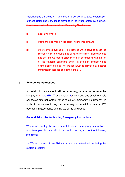National Grid's Electricity Transmission Licence. A detailed explanation of these Balancing Services is provided in the Procurement Guidelines. The Transmission Licence defines Balancing Services as:

(a) ancillary services;

(b) offers and bids made in the balancing mechanism; and

(c) other services available to the licensee which serve to assist the licensee in co- ordinating and directing the flow of electricity onto and over the GB transmission system in accordance with the Act or the standard conditions and/or in doing so efficiently and economically, but shall not include anything provided by another transmission licensee pursuant to the STC.

#### **5 Emergency Instructions**

In certain circumstances it will be necessary, in order to preserve the integrity of  $\frac{H}{R}$  GB  $\frac{1}{4}$ Transmission Ssystem and any synchronously connected external system, for us to issue 'Emergency Instructions'. In such circumstances it may be necessary to depart from normal BM operation in accordance with BC2.9 of the Grid Code.

#### **General Principles for Issuing Emergency Instructions**

Where we identify the requirement to issue Emergency Instructions, and time permits, we will do so with due regard to the following principles:

(a) We will instruct those BMUs that are most effective in relieving the system problem;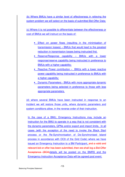(b) Where BMUs have a similar level of effectiveness in relieving the system problem we will select on the basis of submitted Bid-Offer Data;

(c) Where it is not possible to differentiate between the effectiveness or cost of BMUs we will instruct on the basis of:

- Effect on power flows (resulting in the minimisation of transmission losses) – BMUs that would lead to the greatest reduction in transmission losses being instructed first.
- Reserve/Response capability BMUs with a lower response/reserve capability being instructed in preference to BMUs with a higher capability;
- Reactive Power contribution BMUs with a lower reactive power capability being instructed in preference to BMUs with a higher capability;
- Dynamic Parameters BMUs with more appropriate dynamic parameters being selected in preference to those with less appropriate parameters.

(d) where several BMUs have been instructed in response to an incident we will restore those units, where dynamic parameters and system conditions allow, in the reverse order of their instruction.

In the case of a BMU, Emergency Instructions may include an instruction for the BMU to operate in a way that is not consistent with the dynamic parameters, QPNs and/or export and import limits. In all cases (with the exception of the need to invoke the Black Start process or the Re-Synchronisation of De-Synchronised Island process in accordance with OC9 of the Grid Code) where we have issued an Emergency Instruction to a BM Participant, and a valid and relevant bid or offer has been submitted, then we shall log a Bid-Offer Acceptance (BOA)details will be posted on the BMRS and the Emergency Instruction Acceptance Data will be agreed post event.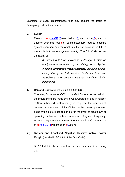Examples of such circumstances that may require the issue of Emergency Instructions include:

#### (a) **Events**

Events on ourthe GB tTransmission sSystem or the Ssystem of another user that leads or could potentially lead to insecure system operation and for which insufficient relevant Bid-Offers are available to restore system security. The Grid Code defines an 'Event' as:

> 'An unscheduled or unplanned (although it may be anticipated) occurrence on, or relating to, a **System**  (including **Embedded Power Stations)** including, without limiting that general description, faults, incidents and breakdowns and adverse weather conditions being experienced'.

#### (b) **Demand Control** (detailed in OC6.5 to OC6.8)

Operating Code No. 6 (OC6) of the Grid Code is concerned with the provisions to be made by Network Operators, and in relation to Non-Embedded Customers by us, to permit the reduction of demand in the event of insufficient active power generation being available to meet demand, or in the event of breakdown or operating problems (such as in respect of system frequency, system voltage levels or system thermal overloads) on any part of ourthe GB-Ttransmission sSystem.

(c) **System and Localised Negative Reserve Active Power Margin** (detailed in BC2.9.4 of the Grid Code).

BC2.9.4 details the actions that we can undertake in ensuring that: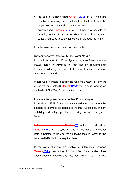- the sum of synchronised GensetsBMUs at all times are capable of reducing output sufficient to offset the loss of the largest secured demand on the system and
- synchronised GensetsBMUs at all times are capable of reducing output to allow transfers to and from system constraint groups to be contained within the required limits.

In both cases this action must be sustainable.

#### **System Negative Reserve Active Power Margin**

It should be noted that if the System Negative Reserve Active Power Margin (NRAPM) is not met then the resulting high frequency following the loss of the largest secured demand would not be abated.

 Where we are unable to satisfy the required System NRAPM we will select (and instruct) GensetsBMUs for De-synchronising on the basis of Bid-Offer Data submitted to us.

#### **Localised Negative Reserve Active Power Margin**

If Localised NRAPM are not maintained then it may not be possible to alleviate incidences of thermal overloading, system instability and voltage problems following transmission system faults.

In the case of Localised NRAPM wWe will select and instruct GensetsBMUs for De-synchronising on the basis of Bid-Offer Data submitted to us and their effectiveness in restoring the Localised NRAPM to the required level.

 In the event that we are unable to differentiate between GensetsBMUs according to Bid-Offer Data and/or their effectiveness in restoring any Localised NRAPM, we will, where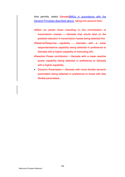time permits, select GensetsBMUs in accordance with the General Principles described above. taking into account their:

- •effect on power flows (resulting in the minimisation of transmission losses) – Gensets that would lead to the greatest reduction in transmission losses being selected first
- •Reserve/Response capability Gensets with a lower response/reserve capability being selected in preference to Gensets with a higher capability (if instructing off);
- •Reactive Power contribution Gensets with a lower reactive power capability being selected in preference to Gensets with a higher capability;
- Dynamic Parameters Gensets with more flexible dynamic parameters being selected in preference to those with less flexible parameters;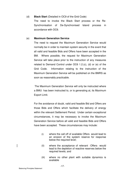#### (d) **Black Start** (Detailed in OC9 of the Grid Code)

The need to invoke the Black Start process or the Re-Synchronisation of De-Synchronised Island process in accordance with OC9.

#### (e) **Maximum Generation Service**

The need to request the Maximum Generation Service would normally be in order to maintain system security in the event that all valid and feasible Bids and Offers have been accepted in the BM. Where possible, the request for Maximum Generation Service will take place prior to the instruction of any measures related to Demand Control under OC6 1.2.(c), (d) or (e) of the Grid Code. Information relating to the instruction of the Maximum Generation Service will be published on the BMRS as soon as reasonably practicable.

The Maximum Generation Service will only be instructed where a BMU has been instructed to, or is generating at, its Maximum Export Limit.

For the avoidance of doubt, valid and feasible Bid and Offers are those Bids and Offers which facilitate the delivery of energy within the relevant Settlement Period. Under certain exceptional circumstances, it may be necessary to invoke the Maximum Generation Service before all valid and feasible Bids and Offers have been accepted. These circumstances may include:

- (i) where the call off of available Offers would lead to an erosion of the system reserve for response below the required level;
- $(ii)$  where the acceptance of relevant  $-Offers$  would lead to the depletion of reactive reserves below the required levels; and
- (iii) where no other plant with suitable dynamics is available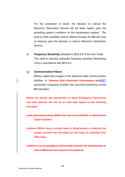For the avoidance of doubt, the decision to instruct the Maximum Generation Service will be taken based upon the prevailing system conditions on the transmission system. The price of other available actions offered through the BM will have no bearing upon the decision to instruct Maximum Generation **Service** 

(f) **Frequency Sensitivity** (Detailed in BC2.9.5 of the Grid Code) The need to maintain adequate frequency sensitive Generating Units in accordance with BC2.9.5.

#### (g) **Communication Failure**

Where unplanned outages of the electronic data communication facilities or National Grid Electricity Transmission pleNGET associated computing facilities has occurred preventing normal BM operation.

Where we identify the requirement to issue Emergency Instructions, and time permits, we will do so with due regard to the following principles:

(a)we will instruct those BMUs that are most effective in relieving the system problem;

(b)where BMUs have a similar level of effectiveness in relieving the system problem we will select on the basis of submitted Bid-**Offer Data:** 

(c)where it is not possible to differentiate between the effectiveness or cost of BMUs we will instruct on the basis of: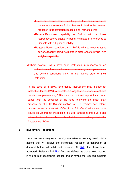- •Effect on power flows (resulting in the minimisation of transmission losses) – BMUs that would lead to the greatest reduction in transmission losses being instructed first.
- •Reserve/Response capability BMUs with a lower response/reserve capability being instructed in preference to Gensets with a higher capability;
- •Reactive Power contribution BMUs with a lower reactive power capability being instructed in preference to BMUs with a higher capability.

(d)where several BMUs have been instructed in response to an incident we will restore those units, where dynamic parameters and system conditions allow, in the reverse order of their instruction.

In the case of a BMU, Emergency Instructions may include an instruction for the BMU to operate in a way that is not consistent with the dynamic parameters, QPNs and/or export and import limits. In all cases (with the exception of the need to invoke the Black Start process or the Re-Synchronisation of De-Synchronised Island process in accordance with OC9 of the Grid Code) where we have issued an Emergency Instruction to a BM Participant and a valid and relevant bid or offer has been submitted, then we shall log a Bid-Offer Acceptance (BOA).

#### **6 Involuntary Reductions**

Under certain, mainly exceptional, circumstances we may need to take actions that will involve the involuntary reduction of generation or demand before all valid and relevant BM Bid-Offers have been accepted. Relevant BM Bid-Offers are defined as those being located in the correct geographic location and/or having the required dynamic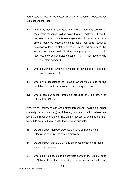parameters to resolve the system problem in question. Reasons for such actions include:

- (i) where the call off of available Offers would lead to an erosion of the system response holding below the required level. (It should be noted that an instantaneous generation loss occurring at a time of depleted response holding could lead to a frequency deviation outside of statutory limits. In the extreme case the system frequency could fall below the trigger point for automatic low frequency demand disconnection – a minimum level of 6% of total system demand)
- (ii) where automatic curtailment measures have been initiated in response to an incident
- (iii) where the acceptance of relevant Offers would lead to the depletion of reactive reserves below the required levels
- (iv) where communication problems preclude the instruction of relevant Bid-Offers

Involuntary Reductions can arise either through our instruction (either manually or automatically) or following a system fault. Where we identify the requirement to call involuntary reductions, and time permits, we will do so with due regard to the following principles:

- (a) we will instruct Network Operators whose demand is most effective in relieving the system problem;
- (b) we will instruct those BMUs that are most effective in relieving the system problem;
- (c) where it is not possible to differentiate between the effectiveness of Network Operators' demand (or BMUs) we will instruct those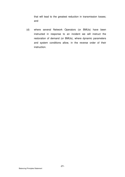that will lead to the greatest reduction in transmission losses; and

(d) where several Network Operators (or BMUs) have been instructed in response to an incident we will instruct the restoration of demand (or BMUs), where dynamic parameters and system conditions allow, in the reverse order of their instruction.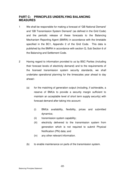#### **PART C: PRINCIPLES UNDERLYING BALANCING MEASURES**

- 1 We shall be responsible for making a forecast of 'GB National Demand' and 'GB Transmission System Demand' (as defined in the Grid Code) and the periodic release of these forecasts to the Balancing Mechanism Reporting Agent (BMRA) in accordance with the timetable specified in the BC1, Appendix 2 of the Grid Code. This data is published by the BMRA in accordance with section Q, Sub Section 6 of the Balancing and Settlement Code.
- 2 Having regard to information provided to us by BSC Parties (including their forecast levels of electricity demand) and to the requirements of the licensed transmission system security standards, we shall undertake operational planning for the timescales year ahead to day ahead:-
	- (a) for the matching of generation output (including, if achievable, a reserve of BMUs to provide a security margin sufficient to maintain an acceptable level of short term supply security) with forecast demand after taking into account:
		- (i) BMUs availability, flexibility, prices and submitted dynamics;
		- (ii) transmission system capability;
		- (iii) electricity delivered to the transmission system from generation which is not required to submit Physical Notification (PN) data; and
		- (iv) any other relevant information.
	- (b) to enable maintenance on parts of the transmission system.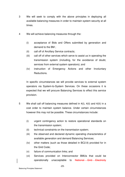- 3 We will seek to comply with the above principles in deploying all available balancing measures in order to maintain system security at all times.
- 4 We will achieve balancing measures through the:
	- (i) acceptance of Bids and Offers submitted by generation and demand to the BM ;
	- (ii) call off of Ancillary Service contracts;
	- (iii) call off of other services which serve to assist us in operating the transmission system (including, for the avoidance of doubt, services from external system operators); and
	- (iv) instruction of Emergency Actions and other Involuntary Reductions.

In specific circumstances we will provide services to external system operators via System-to-System Services. On these occasions it is expected that we will procure Balancing Services to effect this service provision.

- 5 We shall call off balancing measures defined in 4(i), 4(ii) and 4(iii) in a cost order to maintain system balance. Under certain circumstances however this may not be possible. These circumstances include:
	- (i) urgent contingency action to restore operational standards on the transmission system;
	- (ii) technical constraints on the transmission system;
	- (iii) the observed and declared dynamic operating characteristics of available generation and demand Balancing Services;
	- (iv) other matters (such as those detailed in BC2.9) provided for in the Grid Code;
	- (v) failure of communication links; and
	- (vi) Services provided on Interconnector BMUs that could be operationally unacceptable to National Grid Electricity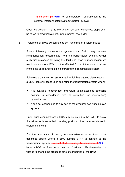Transmission plcNGET, or commercially / operationally to the External Interconnected System Operator (EISO).

Once the problem in (i) to (vi) above has been contained, steps shall be taken to progressively return to a normal cost order.

#### 6 Treatment of BMUs Disconnected by Transmission System Faults

Rarely, following transmission system faults, BMUs may become instantaneously disconnected from the transmission system. Under such circumstances following the fault and prior to reconnection we would only issue a BOA to the affected BMUs if the trade provides immediate assistance to us in controlling the transmission system.

Following a transmission system fault which has caused disconnection, a BMU can only assist us in balancing the transmission system when:

- it is available to reconnect and return to its expected operating position in accordance with its submitted (or resubmitted) dynamics; and
- it can be reconnected to any part of the synchronised transmission system.

Under such circumstances a BOA may be issued to the BMU to delay the return to its expected operating position if the trade assists us in system balancing.

For the avoidance of doubt, in circumstances other than those described above, where a BMU submits a PN to connect to the transmission system, National Grid Electricity Transmission plcNGET issue a BOA (or Emergency Instruction) within BM timescales if it wishes to change the proposed time of connection of the BMU.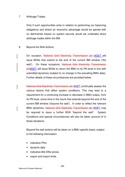#### 7 Arbitrage Trades

Only if such opportunities arise in relation to performing our balancing obligations and where an economic advantage would be gained with no detrimental impact on system security would we undertake direct arbitrage trades within the BM.

#### 8 Beyond the Wall Actions

On occasion, National Grid Electricity Transmission plc NGET will issue BOAs that extend to the end of the current BM window ('the wall'). On these occasions, National Grid Electricity Transmission pleNGET will issue BOAs to return the BMU to its PN level in line with submitted dynamics (subject to no change in the prevailing BMU data). Further details of these circumstances are provided below.

National Grid Electricity Transmission plc-NGET continually assess the various factors that affect system conditions. This may lead to a requirement for a continuing increase or decrease in BMU output, from its PN level, some time in the future that extends beyond the end of the current BM window ('beyond the wall'). In order to reflect the relevant BMU dynamics, National Grid Electricity Transmission plc NGET may be required to issue a further BOA "beyond the wall". System Conditions and special circumstances will also be taken account of in these situations.

Beyond the wall actions will be taken on a BMU specific basis, subject to the following information:

- indicative PN's
- dynamic data
- indicative Bid-Offer prices
- export and import limits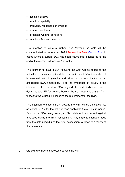- location of BMU
- reactive capability
- frequency response performance
- system conditions
- predicted weather conditions
- Ancillary Service contracts

The intention to issue a further BOA "beyond the wall" will be communicated to the relevant BMU Transaction Point-Control Point in cases where a current BOA has been issued that extends up to the end of the current BM window ('the wall').

The intention to issue a BOA "beyond the wall" will be based on the submitted dynamic and price data for all anticipated BOA timescales. It is assumed that all dynamics and prices remain as submitted for all anticipated BOA timescales. For the avoidance of doubt, if the intention is to extend a BOA beyond the wall, indicative prices, dynamics and PN for periods beyond the wall must not change from those that were used in assessing the requirement for the BOA.

This intention to issue a BOA "beyond the wall" will be translated into an actual BOA after the start of each applicable Gate Closure period. Prior to the BOA being issued, all BMU data will be checked against that used during the initial assessment. Any material changes made from the data used during the initial assessment will lead to a review of the requirement.

9 Canceling of BOAs that extend beyond the wall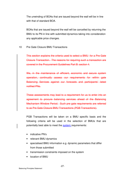The unwinding of BOAs that are issued beyond the wall will be in line with that of standard BOA.

BOAs that are issued beyond the wall will be cancelled by returning the BMU to its PN in line with submitted dynamics taking into consideration any applicable price changes.

10 Pre Gate Closure BMU Transactions

This section explains the criteria used to select a BMU for a Pre Gate Closure Transaction. The reasons for requiring such a transaction are covered in the Procurement Guidelines Part B: section 4.

We, in the maintenance of efficient, economic and secure system operation, continually assess our requirements for within gate Balancing Services against our forecasts and participants' latest notified PNs.

These assessments may lead to a requirement for us to enter into an agreement to procure balancing services ahead of the Balancing Mechanism Window Period. Such pre gate requirements are referred to as Pre Gate Closure BMU Transactions (PGB Transactions).

PGB Transactions will be taken on a BMU specific basis and the following criteria will be used in the selection of BMUs that are potentially best able to meet the system requirements:

- indicative PN's
- relevant BMU dynamics
- specialised BMU information e.g. dynamic parameters that differ from those submitted
- transmission constraints imposed on the system
- location of BMU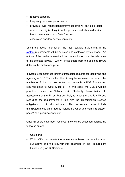- reactive capability
- frequency response performance
- previous PGB Transaction performance (this will only be a factor where reliability is of significant importance and when a decision has to be made close to Gate Closure)
- associated ancillary service contracts

Using the above information, the most suitable BMUs that fit the system requirements will be selected and contacted by telephone. An outline of the profile required will be communicated over the telephone to the selected BMUs. We will invite offers from the selected BMUs detailing the profile and price.

If system circumstances limit the timescales required for identifying and agreeing a PGB Transaction then it may be necessary to restrict the number of BMUs that we contact (for example a PGB Transaction required close to Gate Closure). In this case, the BMUs will be prioritised based on National Grid Electricity Transmission plc assessment of the BMUs that are likely to meet the criteria with due regard to the requirements in line with the Transmission License obligations not to discriminate. This assessment may include anticipated prices (informed by historic Bid-Offer and PGB Transaction prices) as a prioritisation factor.

Once all offers have been received, they will be assessed against the following criteria:

- Cost ; and
- Which Offer best meets the requirements based on the criteria set out above and the requirements described in the Procurement Guidelines (Part B, Section 4).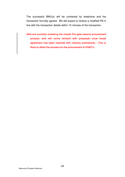The successful BMU(s) will be contacted by telephone and the transaction formally agreed. We will expect to receive a modified PN in line with the transaction details within 15 minutes of the transaction.

•We are currently reviewing the overall Pre gate reserve procurement process, and will come forward with proposals once broad agreement has been reached with industry participants. This is likely to affect the process for the procurement of PGBT's.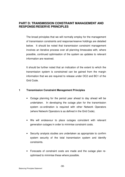#### **PART D: TRANSMISSION CONSTRAINT MANAGEMENT AND RESPONSE/RESERVE PRINCIPLES**

The broad principles that we will normally employ for the management of transmission constraints and response/reserve holdings are detailed below. It should be noted that transmission constraint management involves an iterative process over all planning timescales with, where possible, continued optimisation of the system as updates to relevant information are received.

It should be further noted that an indication of the extent to which the transmission system is constrained can be gained from the margin information that we are required to release under OC2 and BC1 of the Grid Code.

#### **1 Transmission Constraint Management Principles**

- Outage planning for the period year ahead to day ahead will be undertaken. In developing the outage plan for the transmission system co-ordination is required with other Network Operators (where Network Operators is as defined in the Grid Code).
- We will endeavour to place outages coincident with relevant generation outages in order to minimise constraint costs.
- Security analysis studies are undertaken as appropriate to confirm system security of the total transmission system and identify constraints.
- Forecasts of constraint costs are made and the outage plan reoptimised to minimise these where possible.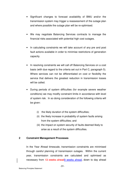- Significant changes to forecast availability of BMU and/or the transmission system may trigger a reassessment of the outage plan and where possible the outage plan will be re-optimised.
- We may negotiate Balancing Services contracts to manage the financial risks associated with potential high cost outages.
- In calculating constraints we will take account of any pre and post fault actions available in order to minimise restrictions of generation capacity.
- In resolving constraints we will call off Balancing Services on a cost basis (with due regard to the criteria set out in Part C, paragraph 5). Where services can not be differentiated on cost or flexibility the service that delivers the greatest reduction in transmission losses will be called.
- During periods of system difficulties (for example severe weather conditions) we may modify constraint limits in accordance with level of system risk. In so doing consideration of the following criteria will be given:
	- (i) the likely duration of the system difficulties;
	- (ii) the likely increase in probability of system faults arising from the system difficulties; and
	- (iii) the impact on system security of faults deemed likely to arise as a result of the system difficulties.

#### **2 Constraint Management Processes**

In the Year Ahead timescale, transmission constraints are minimised through careful planning of transmission outages. Within the current year, transmission constraints are calculated and optimised as necessary from 13 weeks ahead9 weeks ahead, down to day ahead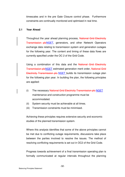timescales and in the pre Gate Closure control phase. Furthermore constraints are continually monitored and optimised in real time.

#### **2.1 Year Ahead**

Throughout the year ahead planning process, National Grid Electricity Transmission pleNGET, generators, and other Network Operators exchange data relating to transmission system and generation outages for the following year. The content and timing of these data flows are currently specified under the OC 2 of the Grid Code.

Using a combination of this data and the National Grid Electricity Transmission pleNGET estimated generation merit order, National Grid Electricity Transmission plc-NGET builds its transmission outage plan for the following plan year. In building the plan, the following principles are applied:

- (i) The necessary National Grid Electricity Transmission plc-NGET maintenance and construction programme must be accommodated.
- (ii) System security must be achievable at all times.
- (iii) Transmission constraints must be minimised.

Achieving these principles requires extensive security and economic studies of the planned transmission system.

Where this analysis identifies that some of the above principles cannot be met due to conflicting outage requirements, discussions take place between the parties involved to resolve the issues. The method of resolving conflicting requirements is set out in OC2 of the Grid Code.

Progress towards achievement of a final transmission operating plan is formally communicated at regular intervals throughout the planning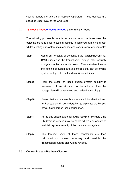year to generators and other Network Operators. These updates are specified under OC2 of the Grid Code.

#### **2.2 13 Weeks Ahead9 Weeks Ahead / down to Day Ahead**

The following process is undertaken across the above timescales, the objective being to ensure system security is achieved at minimum cost whilst meeting our system maintenance and construction requirements:

- Step 1- Using our forecast of demand, BMU availability/running, BMU prices and the transmission outage plan, security analysis studies are undertaken. These studies involve the running of system analysis models that can determine system voltage, thermal and stability conditions.
- Step 2 From the output of these studies system security is assessed. If security can not be achieved then the outage plan will be reviewed and revised accordingly.
- Step 3 Transmission constraint boundaries will be identified and further studies will be undertaken to calculate the limiting power flows across these boundaries.
- Step 4 At the day ahead stage, following receipt of PN data, the BM Start-up service may be called where appropriate to maintain system security of the transmission system.
- Step 5 The forecast costs of these constraints are then calculated and where necessary and possible the transmission outage plan will be revised.

#### **2.3 Control Phase – Pre Gate Closure**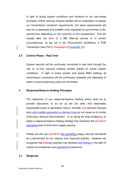In light of actual system conditions and revisions to our day-ahead forecasts, further security analysis studies will be undertaken to assess our transmission constraint requirements. Our plant requirements will also be re-assessed and suitable units requested to synchronise or desynchronise depending on the outcome of this assessment. This will usually take the form of a BM Start-up service or in certain circumstances, as set out in the Procurement Guidelines, a PGB Transaction (see Part C Paragraph 9 Paragraph 10).

#### **2.4 Control Phase – Real Time**

System security will be continually monitored in real time through the use of 'on-line' security analysis studies based on actual system conditions. In light of these studies and actual BMU bidding, all transmission constraints will be continually reviewed and optimised to seek to ensure balancing costs are minimised.

#### **3 Response/Reserve Holding Principles**

The objectives of our response/reserve holding policy shall be to provide assurance, in so far as we are able, that reasonably foreseeable levels of generation failure, shortfall, and demand forecast error and credible generation or demand loss do not cause us to invoke involuntary demand disconnection. In so doing we shall endeavour to adopt a response/reserve holding strategy that maintains the pre NETA prevailing level of short-term supply security

Initially we will use **pre-NETA** the prevailing supply security standards as a benchmark for our reserve and response policies. However we recognise that theseour policies may develop and change in the light of market circumstances and operational experience.

#### **3.1 Response**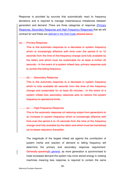Response is provided by sources that automatically react to frequency deviations and is required to manage instantaneous imbalances between generation and demand .There are three categories of response (Primary Response, Secondary Response and High Frequency Response) that we will contract for and these are defined in the Grid Code.detailed below:

#### (a) Primary Response

This is the automatic response to a decrease in system frequency which is increasingly effective with time over the period 0 to 10 seconds from the time of the frequency change (and fully available by the latter) and which must be sustainable for at least a further 20 seconds. In the event of a system infeed loss, primary response acts to contain the falling frequency.

#### (b) Secondary Response

This is the automatic response to a decrease in system frequency which is fully available 30 seconds from the time of the frequency change and sustainable for at least 30 minutes. In the event of a system infeed loss secondary response acts to restore the system frequency to operational limits.

#### (c) High Frequency Response

This is the automatic response (of reducing output from generation) to an increase in system frequency which is increasingly effective with time over the period 0 to 10 seconds from the time of the frequency change (and fully available by the latter) and which must be maintained (at no lesser reduction) thereafter.

The magnitude of the largest infeed set against the contribution of system inertia and reaction of demand to falling frequency will determine the primary and secondary response requirement. Generally speaking In general, as more generation is synchronised to meet increased demand the system has more stored energy in rotating machines meaning less response is required to contain the same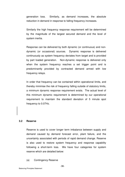generation loss. Similarly, as demand increases, the absolute reduction in demand in response to falling frequency increases.

Similarly the high frequency response requirement will be determined by the magnitude of the largest secured demand and the level of system inertia.

Response can be delivered by both dynamic (or continuous) and nondynamic (or occasional) sources. Dynamic response is delivered continuously as system frequency deviates from target and is provided by part loaded generation. Non-dynamic response is delivered only when the system frequency reaches a set trigger point and is predominantly provided by contracted demand armed with low frequency relays.

In order that frequency can be contained within operational limits, and thereby minimise the risk of frequency falling outside of statutory limits, a minimum dynamic response requirement exists. The actual level of this minimum dynamic requirement is determined by our operational requirement to maintain the standard deviation of 5 minute spot frequency to 0.07Hz.

#### **3.2 Reserve**

Reserve is used to cover longer term imbalance between supply and demand caused by demand forecast error, plant failure, and the uncertainty associated with periods of rapid demand change. Reserve is also used to restore system frequency and response capability following a short-term loss. We have four categories for system reserve which are detailed below:

(a) Contingency Reserve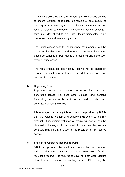This will be delivered primarily through the BM Start-up service to ensure sufficient generation is available at gate-closure to meet system demand, system security and our response and reserve holding requirements. It effectively covers for longerterm (i.e. day ahead to pre Gate Closure timescales) plant losses and demand forecasting errors.

The initial assessment for contingency requirements will be made at the day ahead and revised throughout the control phase as certainty in both demand forecasting and generation availability increases.

The requirements for contingency reserve will be based on longer-term plant loss statistics, demand forecast error and demand BMU offers.

#### (b) Regulating Reserve

Regulating reserve is required to cover for short-term generation losses (i.e. post Gate Closure) and demand forecasting error and will be carried on part loaded synchronised generation or demand BMUs.

It is envisaged that initially this service will be provided by BMUs that are voluntarily submitting suitable Bids-Offers to the BM although, if insufficient volumes of regulating reserve can be obtained in this way or it is economic to do so, ancillary service contracts may be put in place for the provision of this reserve service.

### (c) Short Term Operating Reserve (STOR) STOR is provided by contracted generation or demand reduction that can deliver reserve in short timescales. As with regulating reserve, it is required to cover for post Gate Closure plant loss and demand forecasting errors. STOR may be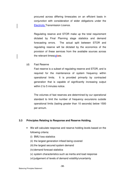procured across differing timescales on an efficient basis in conjunction with consideration of wider obligations under the Electricity Transmission Licence.

Regulating reserve and STOR make up the total requirement dictated by Final Planning stage statistics and demand forecasting errors. The actual split between STOR and regulating reserve will be dictated by the economics of the provision of these services from the available sources across the relevant timescalaes.

(d) Fast Reserve

Fast reserve is a subset of regulating reserve and STOR, and is required for the maintenance of system frequency within operational limits. It is provided primarily by contracted generation that is capable of significantly increasing output within 2 to 5 minutes notice.

The volumes of fast reserves are determined by our operational standard to limit the number of frequency excursions outside operational limits (lasting greater than 10 seconds) below 1500 per annum.

#### **3.3 Principles Relating to Response and Reserve Holding.**

- We will calculate response and reserve holding levels based on the following criteria:
	- (i) BMU loss statistics
	- (ii) the largest generation infeed being covered
	- (iii) the largest secured system demand
	- (iv) demand forecast statistics
	- (v) system characteristics such as inertia and load response
	- (vi) judgement of levels of demand volatility/uncertainty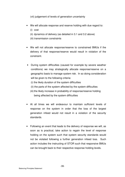(vii) judgement of levels of generation uncertainty

- We will allocate response and reserve holding with due regard to:
	- (i) cost
	- (ii) dynamics of delivery (as detailed in 3.1 and 3.2 above)
	- (iii) transmission constraints
- We will not allocate response/reserve to constrained BMUs if the delivery of that response/reserve would result in violation of the constraint.
- During system difficulties (caused for example by severe weather conditions) we may strategically allocate response/reserve on a geographic basis to manage system risk. In so doing consideration will be given to the following criteria:
	- (i) the likely duration of the system difficulties
	- (ii) the parts of the system affected by the system difficulties
	- (iii) the likely increase in probability of response/reserve holding being affected by the system difficulties
- At all times we will endeavour to maintain sufficient levels of response on the system in order that the loss of the largest generation infeed would not result in a violation of the security standards.
- Following an event that leads to the delivery of response we will, as soon as is practical, take action to regain the level of response holding on the system such that system security standards would not be violated following a further generation infeed loss. Such action includes the instructing of STOR such that responsive BMUs can be brought back to their respective response holding levels.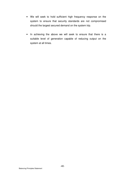- We will seek to hold sufficient high frequency response on the system to ensure that security standards are not compromised should the largest secured demand on the system trip.
- In achieving the above we will seek to ensure that there is a suitable level of generation capable of reducing output on the system at all times.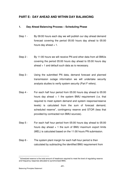#### **PART E: DAY AHEAD AND WITHIN DAY BALANCING**

#### **1. Day Ahead Balancing Process – Scheduling Phase**

- Step 1 By 09:00 hours each day we will publish our day ahead demand forecast covering the period 05:00 hours day ahead to 05:00 hours day ahead  $+1$ .
- Step 2 By 11:00 hours we will receive PN and other data from all BMUs covering the period 05:00 hours day ahead to 05:00 hours day ahead + 1 and default such data as is necessary.
- Step 3 Using the submitted PN data, demand forecast and planned transmission outage information we will undertake security analysis studies to verify system security (Part F refers).
- Step 4 For each half hour period from 05:00 hours day ahead to 05:00 hours day ahead  $+1$  the system BMU requirement (i.e. that required to meet system demand and system response/reserve levels) is calculated from the sum of forecast demand, scheduled reserve<sup>1</sup>, contingency reserve and STOR (less that provided by contracted non BMU sources).
- Step 5 For each half hour period from 05:00 hours day ahead to 05:00 hours day ahead  $+1$  the sum of BMU maximum export limits (MEL) is calculated based on the 11:00 hours PN submission.
- Step 6 The system plant margin for each half-hour period is then calculated by subtracting the identified BMU requirement from

 $\overline{a}$ 1 Scheduled reserve is the total amount of headroom required to meet the level of regulating reserve and frequency response allocated to synchronised BMU.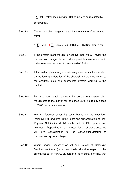$\frac{3}{2}$  MEL (after accounting for BMUs likely to be restricted by constraints).

Step 7 - The system plant margin for each half-hour is therefore derived from:

 $(3\sum_{n=1}^{\infty}$  MEL -  $3\sum_{n=1}^{\infty}$  Constrained Off BMUs) – BM Unit Requirement

- Step 8 If the system plant margin is negative then we will revisit the transmission outage plan and where possible make revisions in order to reduce the level of constrained off BMUs.
- Step 9 If the system plant margin remains negative we shall, dependant on the level and duration of the shortfall and the time period to the shortfall, issue the appropriate system warning to the market.
- Step 10 By 12:00 hours each day we will issue the total system plant margin data to the market for the period 05:00 hours day ahead to 05:00 hours day ahead  $+1$ .
- Step 11 We will forecast constraint costs based on the submitted indicative PN (and other BMU ) data and our estimation of Final Physical Notification (FPN) levels and Bid-Offer prices and volumes. Depending on the forecast levels of these costs we will give consideration to the cancellation/deferral of transmission system outages.
- Step 12 Where judged necessary we will seek to call off Balancing Services contracts (on a cost basis with due regard to the criteria set out in Part C, paragraph 5) to ensure, inter alia, that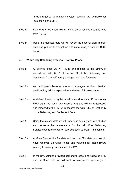BMUs required to maintain system security are available for selection in the BM .

- Step 13 Following 11:00 hours we will continue to receive updated PNs from BMUs.
- Step 14 Using this updated data we will revise the national plant margin data and publish this together with zonal margin data by 16:00 hours.

#### **2. Within Day Balancing Process – Control Phase**

- Step 1 At defined times we will revise and release to the BMRA in accordance with 6.1.7 of Section Q of the Balancing and Settlement Code half-hourly averaged demand forecasts.
- Step 2 As participants become aware of changes to their physical position they will be expected to advise us of those changes.
- Step 3 At defined times, using the latest demand forecast, PN and other BMU data, the zonal and national margins will be reassessed and released to the BMRA in accordance with 6.1.7 of Section Q of the Balancing and Settlement Code.
- Step 4 Using the revised data we will undertake security analysis studies and reassess the requirements for the call off of Balancing Services contracts or Other Services such as PGB Transactions.
- Step 5 At Gate Closure the PN data will become FPN data and we will have received Bid-Offer Prices and volumes for those BMUs wishing to actively participate in the BM.
- Step 6 In the BM, using the revised demand forecast and validated FPN and Bid-Offer Data, we will seek to balance the system (on a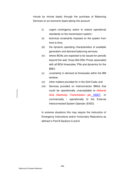minute by minute basis) through the purchase of Balancing Services on an economic basis taking into account:

- (i) urgent contingency action to restore operational standards on the transmission system;
- (ii) technical constraints imposed on the system from time to time;
- (iii) the dynamic operating characteristics of available generation and demand balancing services;
- (iv) where BOAs are expected to be issued for periods beyond the wall, those Bid-Offer Prices associated with all BOA timescales, PNs and dynamics for the BMU;
- (v) uncertainty in demand at timescales within the BM window;
- (vi) other matters provided for in the Grid Code; and
- (vii) Services provided on Interconnector BMUs that could be operationally unacceptable to National Grid Electricity Transmission ple NGET, or commercially / operationally to the External Interconnected System Operator (EISO).

In extreme situations this may require the instruction of Emergency Instructions and/or Involuntary Reductions as defined in Part B Sections 5 and 6.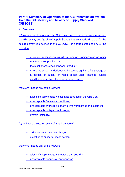#### **Part F: Summary of Operation of the GB transmission system from the GB Security and Quality of Supply Standard (GBSQSS)**

#### **1. Overview**

(a) We shall seek to operate the GB Transmission system in accordance with the GB security and Quality of Supply Standard as summarised so that for the secured event (as defined in the GBSQSS) of a fault outage of any of the following:

- a single transmission circuit, a reactive compensator or other reactive power provider; or
- the most onerous loss of power infeed; or
- where the system is designed to be secure against a fault outage of a section of busbar or mesh corner under planned outage conditions, a section of busbar or mesh corner,

there shall not be any of the following:

- a loss of supply capacity except as specified in the GBSQSS;
- unacceptable frequency conditions;
- unacceptable overloading of any primary transmission equipment;
- unacceptable voltage conditions; or
- system instability.

(b) and for the secured event of a fault outage of:

- a double circuit overhead line; or
- a section of busbar or mesh corner,

there shall not be any of the following:

- a loss of supply capacity greater than 1500 MW;
- unacceptable frequency conditions; or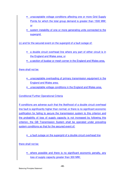- unacceptable voltage conditions affecting one or more Grid Supply Points for which the total group demand is greater than 1500 MW; or
- system instability of one or more generating units connected to the supergrid.

(c) and for the secured event on the supergrid of a fault outage of:

- a double circuit overhead line where any part of either circuit is in the England and Wales area; or
- a section of busbar or mesh corner in the England and Wales area,

#### there shall not be:

- unacceptable overloading of primary transmission equipment in the England and Wales area;
- unacceptable voltage conditions in the England and Wales area.

#### Conditional Further Operational Criteria

If conditions are adverse such that the likelihood of a double circuit overhead line fault is significantly higher than normal; or there is no significant economic justification for failing to secure the transmission system to this criterion and the probability of loss of supply capacity is not increased by following this criterion, the GB Transmission System shall be operated under prevailing system conditions so that for the secured event of:

• a fault outage on the supergrid of a double circuit overhead line

there shall not be:

• where possible and there is no significant economic penalty, any loss of supply capacity greater than 300 MW;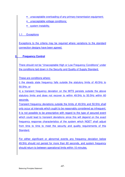- unacceptable overloading of any primary transmission equipment;
- unacceptable voltage conditions;
- system instability.

#### 1.1 Exceptions

Exceptions to the criteria may be required where variations to the standard connection designs have been agreed.

#### **2. Frequency Control**

There should not be "Unacceptable High or Low Frequency Conditions" under the conditions laid down in the Security and Quality of Supply Standard.

These are conditions where:

i) the steady state frequency falls outside the statutory limits of 49.5Hz to 50.5Hz; or

ii) a transient frequency deviation on the MITS persists outside the above statutory limits and does not recover to within 49.5Hz to 50.5Hz within 60 seconds.

Transient frequency deviations outside the limits of 49.5Hz and 50.5Hz shall only occur at intervals which ought to be reasonably considered as infrequent. It is not possible to be prescriptive with regard to the type of secured event which could lead to transient deviations since this will depend on the exact frequency response characteristics of the system which NGET shall adjust from time to time to meet the security and quality requirements of this Standard.

For either significant or abnormal events any frequency deviation below 49.5Hz should not persist for more than 60 seconds, and system frequency should return to between operational limits within 10 minutes.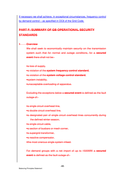If necessary we shall achieve, in exceptional circumstances, frequency control by demand control – as specified in OC6 of the Grid Code.

## **PART F: SUMMARY OF GB OPERATIONAL SECURITY STANDARDS**

#### **1 Overview**

We shall seek to economically maintain security on the transmission system such that for normal and outage conditions, for a **secured event** there shall not be:-

•a loss of supply,

- •a violation of the **system frequency control standard**,
- •a violation of the **system voltage control standard**,
- •system instability,
- •unacceptable overloading of apparatus.

Excluding the exceptions below a **secured event** is defined as the fault outage of:-

•a single circuit overhead line,

- •a double circuit overhead line,
- •a designated pair of single circuit overhead lines concurrently during the defined winter season,
- a single circuit cable.
- •a section of busbars or mesh corner,
- •a supergrid transformer,
- •a reactive compensator,
- •the most onerous single system infeed.

For demand groups with a net import of up to 1500MW a **secured event** is defined as the fault outage of:-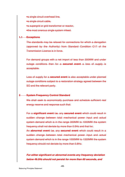•a single circuit overhead line, •a single circuit cable, •a supergrid or grid transformer or reactor, •the most onerous single system infeed.

#### **1.1 Exceptions**

The standards may be relaxed for connections for which a derogation (approved by the Authority) from Standard Condition C17 of the Transmission Licence is in force.

For demand groups with a net import of less than 300MW and under outage conditions then for a **secured event** a loss of supply is acceptable.

Loss of supply for a **secured event** is also acceptable under planned outage conditions subject to a restoration strategy agreed between the SO and the relevant party.

#### **2 System Frequency Control Standard**

We shall seek to economically purchase and schedule sufficient real energy reserve and response such that:

For a **significant event i.e.** any **secured event** which could result in sudden change between total mechanical power input and actual system demand which is in the range 300MW to 1000MW the system frequency shall not deviate by more than 0.5Hz and that for;

An **abnormal event i.e.** any **secured event** which could result in a sudden change between total mechanical power input and actual system demand which is in the range 1000MW to 1320MW the system frequency should not deviate by more than 0.8Hz.

**For either significant or abnormal events any frequency deviation below 49.5Hz should not persist for more than 60 seconds, and**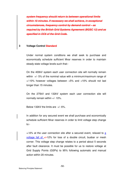**system frequency should return to between operational limits within 10 minutes. If necessary we shall achieve, in exceptional circumstances, frequency control by demand control – as required by the British Grid Systems Agreement (BGSC 12) and as specified in OC6 of the Grid Code.**

#### **3 Voltage Control Standard**

Under normal system conditions we shall seek to purchase and economically schedule sufficient Mvar reserves in order to maintain steady state voltage levels such that:-

On the 400kV system each user connection site will normally remain within +/- 5% of the nominal value with a minimum/maximum range of +/-10% however voltages between +5% and +10% should not last longer than 15 minutes.

On the 275kV and 132kV system each user connection site will normally remain within +/- 10%.

Below 132kV the limits are  $+/- 6\%$ .

In addition for any secured event we shall purchase and economically schedule sufficient Mvar reserves in order to limit voltage step change to:-

+/-6% at the user connection site after a secured event, relaxed to a voltage fall of  $+/-12\%$  for loss of a double circuit, busbar or mesh corner. This voltage step change relates to a period about 5 seconds after fault clearance. It must be possible for us to restore voltage at Grid Supply Points (GSPs) to 95% following automatic and manual action within 20 minutes.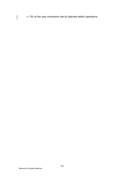+/- 3% at the user connection site for planned switch operations.